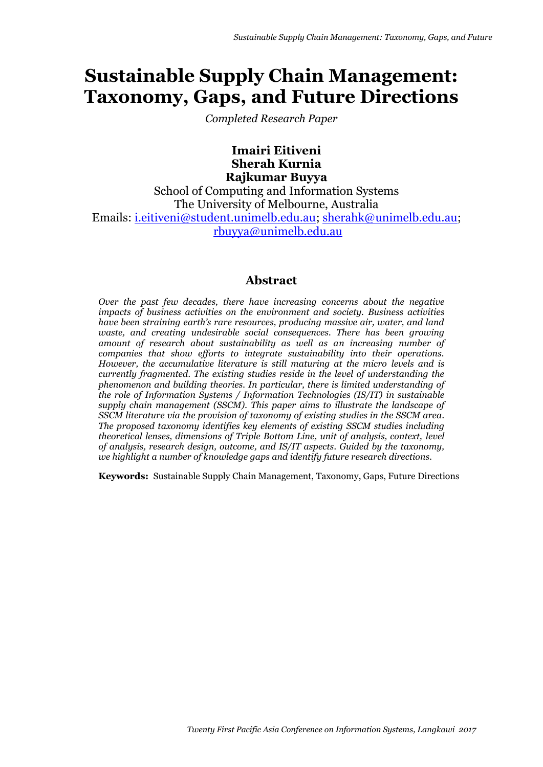# **Sustainable Supply Chain Management: Taxonomy, Gaps, and Future Directions**

*Completed Research Paper*

**Imairi Eitiveni Sherah Kurnia Rajkumar Buyya**

School of Computing and Information Systems The University of Melbourne, Australia Emails: [i.eitiveni@student.unimelb.edu.au;](mailto:i.eitiveni@student.unimelb.edu.au) [sherahk@unimelb.edu.au;](mailto:sherahk@unimelb.edu.au) [rbuyya@unimelb.edu.au](mailto:rbuyya@unimelb.edu.au)

# **Abstract**

*Over the past few decades, there have increasing concerns about the negative impacts of business activities on the environment and society. Business activities have been straining earth's rare resources, producing massive air, water, and land waste, and creating undesirable social consequences. There has been growing amount of research about sustainability as well as an increasing number of companies that show efforts to integrate sustainability into their operations. However, the accumulative literature is still maturing at the micro levels and is currently fragmented. The existing studies reside in the level of understanding the phenomenon and building theories. In particular, there is limited understanding of the role of Information Systems / Information Technologies (IS/IT) in sustainable supply chain management (SSCM). This paper aims to illustrate the landscape of SSCM literature via the provision of taxonomy of existing studies in the SSCM area. The proposed taxonomy identifies key elements of existing SSCM studies including theoretical lenses, dimensions of Triple Bottom Line, unit of analysis, context, level of analysis, research design, outcome, and IS/IT aspects. Guided by the taxonomy, we highlight a number of knowledge gaps and identify future research directions.* 

**Keywords:** Sustainable Supply Chain Management, Taxonomy, Gaps, Future Directions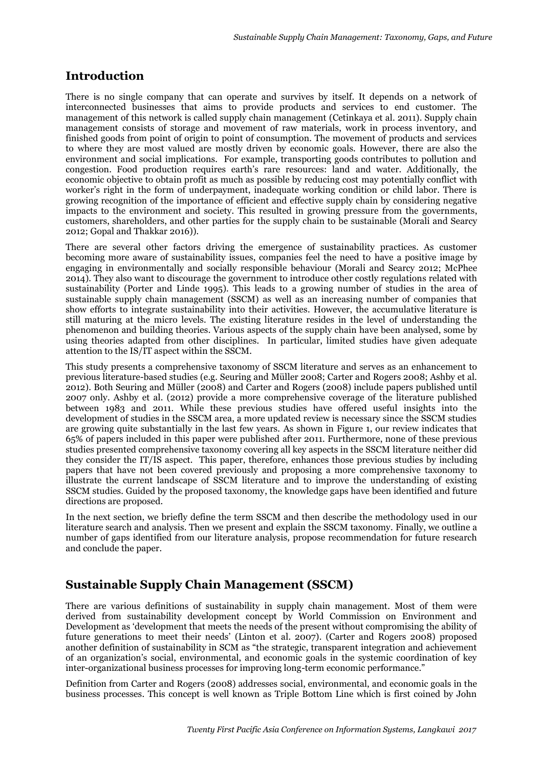# **Introduction**

There is no single company that can operate and survives by itself. It depends on a network of interconnected businesses that aims to provide products and services to end customer. The management of this network is called supply chain management (Cetinkaya et al. 2011). Supply chain management consists of storage and movement of raw materials, work in process inventory, and finished goods from point of origin to point of consumption. The movement of products and services to where they are most valued are mostly driven by economic goals. However, there are also the environment and social implications. For example, transporting goods contributes to pollution and congestion. Food production requires earth's rare resources: land and water. Additionally, the economic objective to obtain profit as much as possible by reducing cost may potentially conflict with worker's right in the form of underpayment, inadequate working condition or child labor. There is growing recognition of the importance of efficient and effective supply chain by considering negative impacts to the environment and society. This resulted in growing pressure from the governments, customers, shareholders, and other parties for the supply chain to be sustainable (Morali and Searcy 2012; Gopal and Thakkar 2016)).

There are several other factors driving the emergence of sustainability practices. As customer becoming more aware of sustainability issues, companies feel the need to have a positive image by engaging in environmentally and socially responsible behaviour (Morali and Searcy 2012; McPhee 2014). They also want to discourage the government to introduce other costly regulations related with sustainability (Porter and Linde 1995). This leads to a growing number of studies in the area of sustainable supply chain management (SSCM) as well as an increasing number of companies that show efforts to integrate sustainability into their activities. However, the accumulative literature is still maturing at the micro levels. The existing literature resides in the level of understanding the phenomenon and building theories. Various aspects of the supply chain have been analysed, some by using theories adapted from other disciplines. In particular, limited studies have given adequate attention to the IS/IT aspect within the SSCM.

This study presents a comprehensive taxonomy of SSCM literature and serves as an enhancement to previous literature-based studies (e.g. Seuring and Müller 2008; Carter and Rogers 2008; Ashby et al. 2012). Both Seuring and Müller (2008) and Carter and Rogers (2008) include papers published until 2007 only. Ashby et al. (2012) provide a more comprehensive coverage of the literature published between 1983 and 2011. While these previous studies have offered useful insights into the development of studies in the SSCM area, a more updated review is necessary since the SSCM studies are growing quite substantially in the last few years. As shown in Figure 1, our review indicates that 65% of papers included in this paper were published after 2011. Furthermore, none of these previous studies presented comprehensive taxonomy covering all key aspects in the SSCM literature neither did they consider the IT/IS aspect. This paper, therefore, enhances those previous studies by including papers that have not been covered previously and proposing a more comprehensive taxonomy to illustrate the current landscape of SSCM literature and to improve the understanding of existing SSCM studies. Guided by the proposed taxonomy, the knowledge gaps have been identified and future directions are proposed.

In the next section, we briefly define the term SSCM and then describe the methodology used in our literature search and analysis. Then we present and explain the SSCM taxonomy. Finally, we outline a number of gaps identified from our literature analysis, propose recommendation for future research and conclude the paper.

# **Sustainable Supply Chain Management (SSCM)**

There are various definitions of sustainability in supply chain management. Most of them were derived from sustainability development concept by World Commission on Environment and Development as 'development that meets the needs of the present without compromising the ability of future generations to meet their needs' (Linton et al. 2007). (Carter and Rogers 2008) proposed another definition of sustainability in SCM as "the strategic, transparent integration and achievement of an organization's social, environmental, and economic goals in the systemic coordination of key inter-organizational business processes for improving long-term economic performance."

Definition from Carter and Rogers (2008) addresses social, environmental, and economic goals in the business processes. This concept is well known as Triple Bottom Line which is first coined by John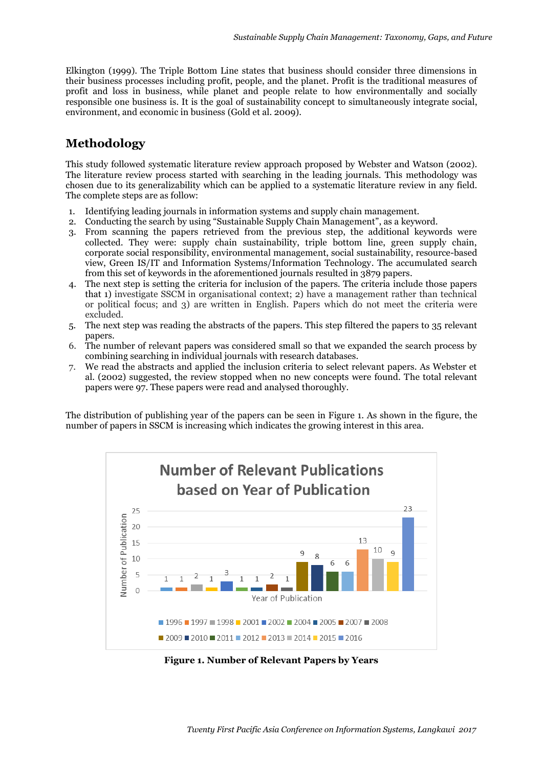Elkington (1999). The Triple Bottom Line states that business should consider three dimensions in their business processes including profit, people, and the planet. Profit is the traditional measures of profit and loss in business, while planet and people relate to how environmentally and socially responsible one business is. It is the goal of sustainability concept to simultaneously integrate social, environment, and economic in business (Gold et al. 2009).

# **Methodology**

This study followed systematic literature review approach proposed by Webster and Watson (2002). The literature review process started with searching in the leading journals. This methodology was chosen due to its generalizability which can be applied to a systematic literature review in any field. The complete steps are as follow:

- 1. Identifying leading journals in information systems and supply chain management.
- 2. Conducting the search by using "Sustainable Supply Chain Management", as a keyword.
- 3. From scanning the papers retrieved from the previous step, the additional keywords were collected. They were: supply chain sustainability, triple bottom line, green supply chain, corporate social responsibility, environmental management, social sustainability, resource-based view, Green IS/IT and Information Systems/Information Technology. The accumulated search from this set of keywords in the aforementioned journals resulted in 3879 papers.
- 4. The next step is setting the criteria for inclusion of the papers. The criteria include those papers that 1) investigate SSCM in organisational context; 2) have a management rather than technical or political focus; and 3) are written in English. Papers which do not meet the criteria were excluded.
- 5. The next step was reading the abstracts of the papers. This step filtered the papers to 35 relevant papers.
- 6. The number of relevant papers was considered small so that we expanded the search process by combining searching in individual journals with research databases.
- 7. We read the abstracts and applied the inclusion criteria to select relevant papers. As Webster et al. (2002) suggested, the review stopped when no new concepts were found. The total relevant papers were 97. These papers were read and analysed thoroughly.

The distribution of publishing year of the papers can be seen in Figure 1. As shown in the figure, the number of papers in SSCM is increasing which indicates the growing interest in this area.



**Figure 1. Number of Relevant Papers by Years**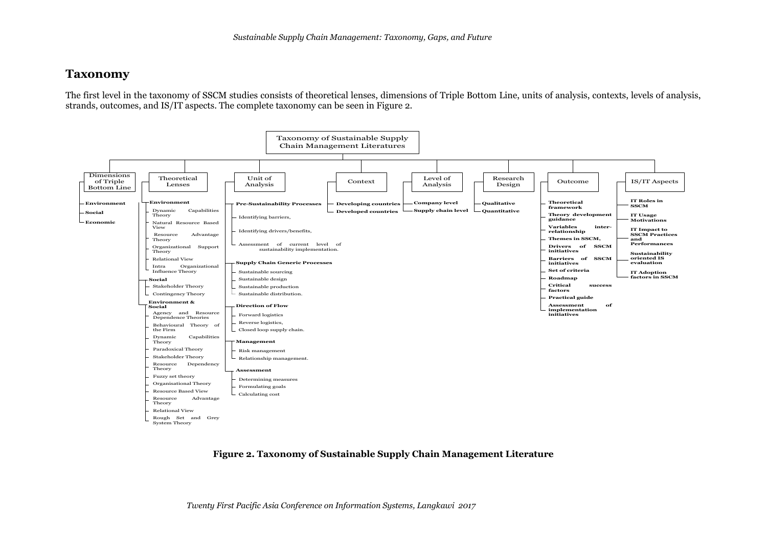## **Taxonomy**

The first level in the taxonomy of SSCM studies consists of theoretical lenses, dimensions of Triple Bottom Line, units of analysis, contexts, levels of analysis, strands, outcomes, and IS/IT aspects. The complete taxonomy can be seen in Figure 2.



#### **Figure 2. Taxonomy of Sustainable Supply Chain Management Literature**

*Twenty First Pacific Asia Conference on Information Systems, Langkawi 2017*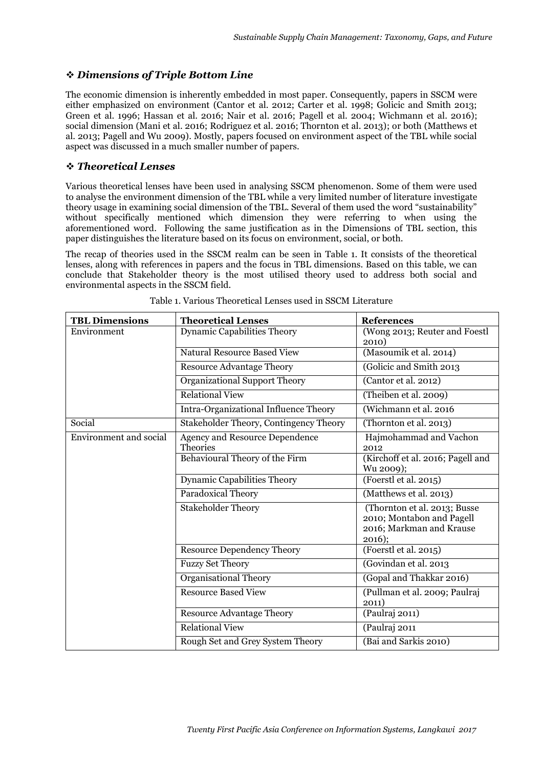## *Dimensions of Triple Bottom Line*

The economic dimension is inherently embedded in most paper. Consequently, papers in SSCM were either emphasized on environment (Cantor et al. 2012; Carter et al. 1998; Golicic and Smith 2013; Green et al. 1996; Hassan et al. 2016; Nair et al. 2016; Pagell et al. 2004; Wichmann et al. 2016); social dimension (Mani et al. 2016; Rodriguez et al. 2016; Thornton et al. 2013); or both (Matthews et al. 2013; Pagell and Wu 2009). Mostly, papers focused on environment aspect of the TBL while social aspect was discussed in a much smaller number of papers.

#### *Theoretical Lenses*

Various theoretical lenses have been used in analysing SSCM phenomenon. Some of them were used to analyse the environment dimension of the TBL while a very limited number of literature investigate theory usage in examining social dimension of the TBL. Several of them used the word "sustainability" without specifically mentioned which dimension they were referring to when using the aforementioned word. Following the same justification as in the Dimensions of TBL section, this paper distinguishes the literature based on its focus on environment, social, or both.

The recap of theories used in the SSCM realm can be seen in Table 1. It consists of the theoretical lenses, along with references in papers and the focus in TBL dimensions. Based on this table, we can conclude that Stakeholder theory is the most utilised theory used to address both social and environmental aspects in the SSCM field.

| <b>TBL Dimensions</b>         | <b>Theoretical Lenses</b>                         | <b>References</b>                                                                               |
|-------------------------------|---------------------------------------------------|-------------------------------------------------------------------------------------------------|
| Environment                   | <b>Dynamic Capabilities Theory</b>                | (Wong 2013; Reuter and Foestl<br>2010)                                                          |
|                               | <b>Natural Resource Based View</b>                | (Masoumik et al. 2014)                                                                          |
|                               | <b>Resource Advantage Theory</b>                  | (Golicic and Smith 2013)                                                                        |
|                               | Organizational Support Theory                     | (Cantor et al. 2012)                                                                            |
|                               | <b>Relational View</b>                            | (Theiben et al. 2009)                                                                           |
|                               | Intra-Organizational Influence Theory             | (Wichmann et al. 2016                                                                           |
| Social                        | Stakeholder Theory, Contingency Theory            | (Thornton et al. 2013)                                                                          |
| <b>Environment</b> and social | Agency and Resource Dependence<br><b>Theories</b> | Hajmohammad and Vachon<br>2012                                                                  |
|                               | Behavioural Theory of the Firm                    | (Kirchoff et al. 2016; Pagell and<br>Wu 2009);                                                  |
|                               | <b>Dynamic Capabilities Theory</b>                | (Foerstl et al. 2015)                                                                           |
|                               | Paradoxical Theory                                | (Matthews et al. 2013)                                                                          |
|                               | <b>Stakeholder Theory</b>                         | (Thornton et al. 2013; Busse<br>2010; Montabon and Pagell<br>2016; Markman and Krause<br>2016); |
|                               | <b>Resource Dependency Theory</b>                 | (Foerstl et al. 2015)                                                                           |
|                               | <b>Fuzzy Set Theory</b>                           | (Govindan et al. 2013                                                                           |
|                               | <b>Organisational Theory</b>                      | (Gopal and Thakkar 2016)                                                                        |
|                               | <b>Resource Based View</b>                        | (Pullman et al. 2009; Paulraj<br>2011)                                                          |
|                               | <b>Resource Advantage Theory</b>                  | (Paulraj 2011)                                                                                  |
|                               | <b>Relational View</b>                            | (Paulraj 2011                                                                                   |
|                               | Rough Set and Grey System Theory                  | (Bai and Sarkis 2010)                                                                           |

Table 1. Various Theoretical Lenses used in SSCM Literature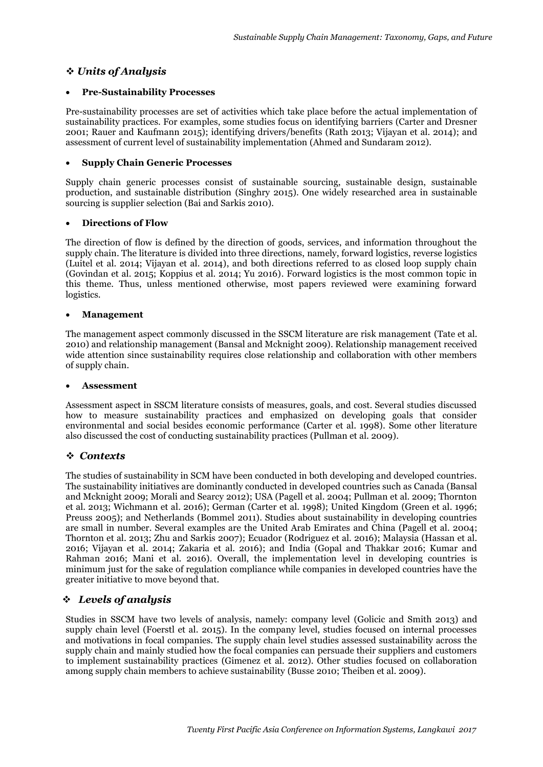## *Units of Analysis*

#### **Pre-Sustainability Processes**

Pre-sustainability processes are set of activities which take place before the actual implementation of sustainability practices. For examples, some studies focus on identifying barriers (Carter and Dresner 2001; Rauer and Kaufmann 2015); identifying drivers/benefits (Rath 2013; Vijayan et al. 2014); and assessment of current level of sustainability implementation (Ahmed and Sundaram 2012).

#### **Supply Chain Generic Processes**

Supply chain generic processes consist of sustainable sourcing, sustainable design, sustainable production, and sustainable distribution (Singhry 2015). One widely researched area in sustainable sourcing is supplier selection (Bai and Sarkis 2010).

#### **Directions of Flow**

The direction of flow is defined by the direction of goods, services, and information throughout the supply chain. The literature is divided into three directions, namely, forward logistics, reverse logistics (Luitel et al. 2014; Vijayan et al. 2014), and both directions referred to as closed loop supply chain (Govindan et al. 2015; Koppius et al. 2014; Yu 2016). Forward logistics is the most common topic in this theme. Thus, unless mentioned otherwise, most papers reviewed were examining forward logistics.

#### **Management**

The management aspect commonly discussed in the SSCM literature are risk management (Tate et al. 2010) and relationship management (Bansal and Mcknight 2009). Relationship management received wide attention since sustainability requires close relationship and collaboration with other members of supply chain.

#### **Assessment**

Assessment aspect in SSCM literature consists of measures, goals, and cost. Several studies discussed how to measure sustainability practices and emphasized on developing goals that consider environmental and social besides economic performance (Carter et al. 1998). Some other literature also discussed the cost of conducting sustainability practices (Pullman et al. 2009).

#### *Contexts*

The studies of sustainability in SCM have been conducted in both developing and developed countries. The sustainability initiatives are dominantly conducted in developed countries such as Canada (Bansal and Mcknight 2009; Morali and Searcy 2012); USA (Pagell et al. 2004; Pullman et al. 2009; Thornton et al. 2013; Wichmann et al. 2016); German (Carter et al. 1998); United Kingdom (Green et al. 1996; Preuss 2005); and Netherlands (Bommel 2011). Studies about sustainability in developing countries are small in number. Several examples are the United Arab Emirates and China (Pagell et al. 2004; Thornton et al. 2013; Zhu and Sarkis 2007); Ecuador (Rodriguez et al. 2016); Malaysia (Hassan et al. 2016; Vijayan et al. 2014; Zakaria et al. 2016); and India (Gopal and Thakkar 2016; Kumar and Rahman 2016; Mani et al. 2016). Overall, the implementation level in developing countries is minimum just for the sake of regulation compliance while companies in developed countries have the greater initiative to move beyond that.

## *Levels of analysis*

Studies in SSCM have two levels of analysis, namely: company level (Golicic and Smith 2013) and supply chain level (Foerstl et al. 2015). In the company level, studies focused on internal processes and motivations in focal companies. The supply chain level studies assessed sustainability across the supply chain and mainly studied how the focal companies can persuade their suppliers and customers to implement sustainability practices (Gimenez et al. 2012). Other studies focused on collaboration among supply chain members to achieve sustainability (Busse 2010; Theiben et al. 2009).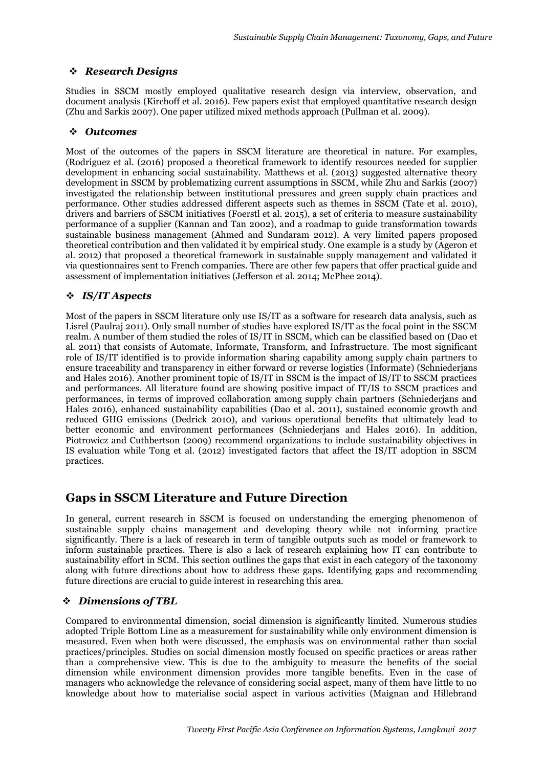## *Research Designs*

Studies in SSCM mostly employed qualitative research design via interview, observation, and document analysis (Kirchoff et al. 2016). Few papers exist that employed quantitative research design (Zhu and Sarkis 2007). One paper utilized mixed methods approach (Pullman et al. 2009).

#### *Outcomes*

Most of the outcomes of the papers in SSCM literature are theoretical in nature. For examples, (Rodriguez et al. (2016) proposed a theoretical framework to identify resources needed for supplier development in enhancing social sustainability. Matthews et al. (2013) suggested alternative theory development in SSCM by problematizing current assumptions in SSCM, while Zhu and Sarkis (2007) investigated the relationship between institutional pressures and green supply chain practices and performance. Other studies addressed different aspects such as themes in SSCM (Tate et al. 2010), drivers and barriers of SSCM initiatives (Foerstl et al. 2015), a set of criteria to measure sustainability performance of a supplier (Kannan and Tan 2002), and a roadmap to guide transformation towards sustainable business management (Ahmed and Sundaram 2012). A very limited papers proposed theoretical contribution and then validated it by empirical study. One example is a study by (Ageron et al. 2012) that proposed a theoretical framework in sustainable supply management and validated it via questionnaires sent to French companies. There are other few papers that offer practical guide and assessment of implementation initiatives (Jefferson et al. 2014; McPhee 2014).

## *IS/IT Aspects*

Most of the papers in SSCM literature only use IS/IT as a software for research data analysis, such as Lisrel (Paulraj 2011). Only small number of studies have explored IS/IT as the focal point in the SSCM realm. A number of them studied the roles of IS/IT in SSCM, which can be classified based on (Dao et al. 2011) that consists of Automate, Informate, Transform, and Infrastructure. The most significant role of IS/IT identified is to provide information sharing capability among supply chain partners to ensure traceability and transparency in either forward or reverse logistics (Informate) (Schniederjans and Hales 2016). Another prominent topic of IS/IT in SSCM is the impact of IS/IT to SSCM practices and performances. All literature found are showing positive impact of IT/IS to SSCM practices and performances, in terms of improved collaboration among supply chain partners (Schniederjans and Hales 2016), enhanced sustainability capabilities (Dao et al. 2011), sustained economic growth and reduced GHG emissions (Dedrick 2010), and various operational benefits that ultimately lead to better economic and environment performances (Schniederjans and Hales 2016). In addition, Piotrowicz and Cuthbertson (2009) recommend organizations to include sustainability objectives in IS evaluation while Tong et al. (2012) investigated factors that affect the IS/IT adoption in SSCM practices.

# **Gaps in SSCM Literature and Future Direction**

In general, current research in SSCM is focused on understanding the emerging phenomenon of sustainable supply chains management and developing theory while not informing practice significantly. There is a lack of research in term of tangible outputs such as model or framework to inform sustainable practices. There is also a lack of research explaining how IT can contribute to sustainability effort in SCM. This section outlines the gaps that exist in each category of the taxonomy along with future directions about how to address these gaps. Identifying gaps and recommending future directions are crucial to guide interest in researching this area.

## *Dimensions of TBL*

Compared to environmental dimension, social dimension is significantly limited. Numerous studies adopted Triple Bottom Line as a measurement for sustainability while only environment dimension is measured. Even when both were discussed, the emphasis was on environmental rather than social practices/principles. Studies on social dimension mostly focused on specific practices or areas rather than a comprehensive view. This is due to the ambiguity to measure the benefits of the social dimension while environment dimension provides more tangible benefits. Even in the case of managers who acknowledge the relevance of considering social aspect, many of them have little to no knowledge about how to materialise social aspect in various activities (Maignan and Hillebrand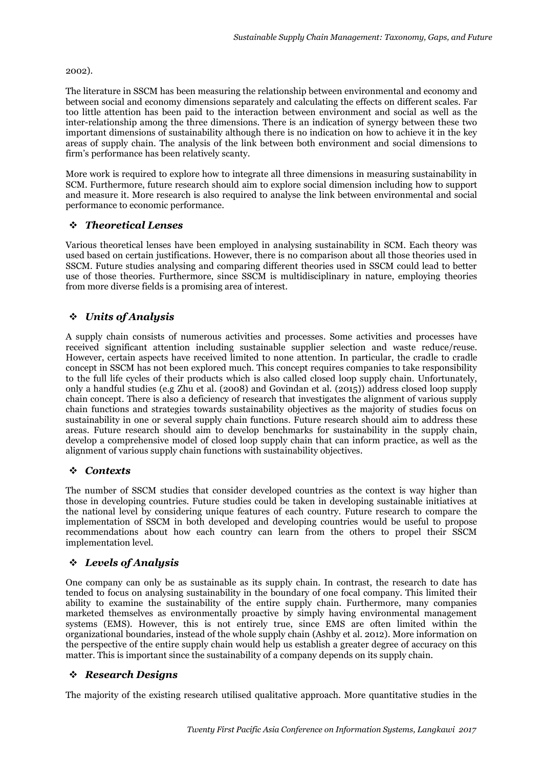#### 2002).

The literature in SSCM has been measuring the relationship between environmental and economy and between social and economy dimensions separately and calculating the effects on different scales. Far too little attention has been paid to the interaction between environment and social as well as the inter-relationship among the three dimensions. There is an indication of synergy between these two important dimensions of sustainability although there is no indication on how to achieve it in the key areas of supply chain. The analysis of the link between both environment and social dimensions to firm's performance has been relatively scanty.

More work is required to explore how to integrate all three dimensions in measuring sustainability in SCM. Furthermore, future research should aim to explore social dimension including how to support and measure it. More research is also required to analyse the link between environmental and social performance to economic performance.

## *Theoretical Lenses*

Various theoretical lenses have been employed in analysing sustainability in SCM. Each theory was used based on certain justifications. However, there is no comparison about all those theories used in SSCM. Future studies analysing and comparing different theories used in SSCM could lead to better use of those theories. Furthermore, since SSCM is multidisciplinary in nature, employing theories from more diverse fields is a promising area of interest.

## *Units of Analysis*

A supply chain consists of numerous activities and processes. Some activities and processes have received significant attention including sustainable supplier selection and waste reduce/reuse. However, certain aspects have received limited to none attention. In particular, the cradle to cradle concept in SSCM has not been explored much. This concept requires companies to take responsibility to the full life cycles of their products which is also called closed loop supply chain. Unfortunately, only a handful studies (e.g Zhu et al. (2008) and Govindan et al. (2015)) address closed loop supply chain concept. There is also a deficiency of research that investigates the alignment of various supply chain functions and strategies towards sustainability objectives as the majority of studies focus on sustainability in one or several supply chain functions. Future research should aim to address these areas. Future research should aim to develop benchmarks for sustainability in the supply chain, develop a comprehensive model of closed loop supply chain that can inform practice, as well as the alignment of various supply chain functions with sustainability objectives.

## *Contexts*

The number of SSCM studies that consider developed countries as the context is way higher than those in developing countries. Future studies could be taken in developing sustainable initiatives at the national level by considering unique features of each country. Future research to compare the implementation of SSCM in both developed and developing countries would be useful to propose recommendations about how each country can learn from the others to propel their SSCM implementation level.

## *Levels of Analysis*

One company can only be as sustainable as its supply chain. In contrast, the research to date has tended to focus on analysing sustainability in the boundary of one focal company. This limited their ability to examine the sustainability of the entire supply chain. Furthermore, many companies marketed themselves as environmentally proactive by simply having environmental management systems (EMS). However, this is not entirely true, since EMS are often limited within the organizational boundaries, instead of the whole supply chain (Ashby et al. 2012). More information on the perspective of the entire supply chain would help us establish a greater degree of accuracy on this matter. This is important since the sustainability of a company depends on its supply chain.

#### *Research Designs*

The majority of the existing research utilised qualitative approach. More quantitative studies in the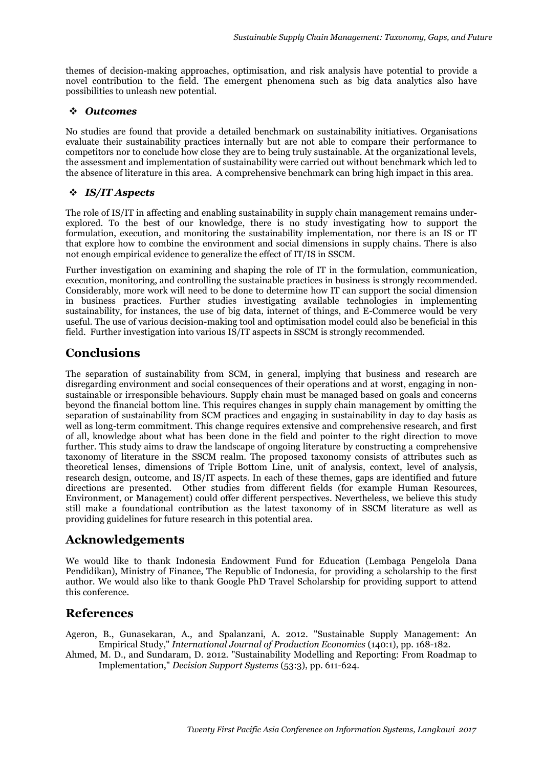themes of decision-making approaches, optimisation, and risk analysis have potential to provide a novel contribution to the field. The emergent phenomena such as big data analytics also have possibilities to unleash new potential.

#### *Outcomes*

No studies are found that provide a detailed benchmark on sustainability initiatives. Organisations evaluate their sustainability practices internally but are not able to compare their performance to competitors nor to conclude how close they are to being truly sustainable. At the organizational levels, the assessment and implementation of sustainability were carried out without benchmark which led to the absence of literature in this area. A comprehensive benchmark can bring high impact in this area.

## *IS/IT Aspects*

The role of IS/IT in affecting and enabling sustainability in supply chain management remains underexplored. To the best of our knowledge, there is no study investigating how to support the formulation, execution, and monitoring the sustainability implementation, nor there is an IS or IT that explore how to combine the environment and social dimensions in supply chains. There is also not enough empirical evidence to generalize the effect of IT/IS in SSCM.

Further investigation on examining and shaping the role of IT in the formulation, communication, execution, monitoring, and controlling the sustainable practices in business is strongly recommended. Considerably, more work will need to be done to determine how IT can support the social dimension in business practices. Further studies investigating available technologies in implementing sustainability, for instances, the use of big data, internet of things, and E-Commerce would be very useful. The use of various decision-making tool and optimisation model could also be beneficial in this field. Further investigation into various IS/IT aspects in SSCM is strongly recommended.

# **Conclusions**

The separation of sustainability from SCM, in general, implying that business and research are disregarding environment and social consequences of their operations and at worst, engaging in nonsustainable or irresponsible behaviours. Supply chain must be managed based on goals and concerns beyond the financial bottom line. This requires changes in supply chain management by omitting the separation of sustainability from SCM practices and engaging in sustainability in day to day basis as well as long-term commitment. This change requires extensive and comprehensive research, and first of all, knowledge about what has been done in the field and pointer to the right direction to move further. This study aims to draw the landscape of ongoing literature by constructing a comprehensive taxonomy of literature in the SSCM realm. The proposed taxonomy consists of attributes such as theoretical lenses, dimensions of Triple Bottom Line, unit of analysis, context, level of analysis, research design, outcome, and IS/IT aspects. In each of these themes, gaps are identified and future directions are presented. Other studies from different fields (for example Human Resources, Environment, or Management) could offer different perspectives. Nevertheless, we believe this study still make a foundational contribution as the latest taxonomy of in SSCM literature as well as providing guidelines for future research in this potential area.

# **Acknowledgements**

We would like to thank Indonesia Endowment Fund for Education (Lembaga Pengelola Dana Pendidikan), Ministry of Finance, The Republic of Indonesia, for providing a scholarship to the first author. We would also like to thank Google PhD Travel Scholarship for providing support to attend this conference.

# **References**

Ageron, B., Gunasekaran, A., and Spalanzani, A. 2012. "Sustainable Supply Management: An Empirical Study," *International Journal of Production Economics* (140:1), pp. 168-182.

Ahmed, M. D., and Sundaram, D. 2012. "Sustainability Modelling and Reporting: From Roadmap to Implementation," *Decision Support Systems* (53:3), pp. 611-624.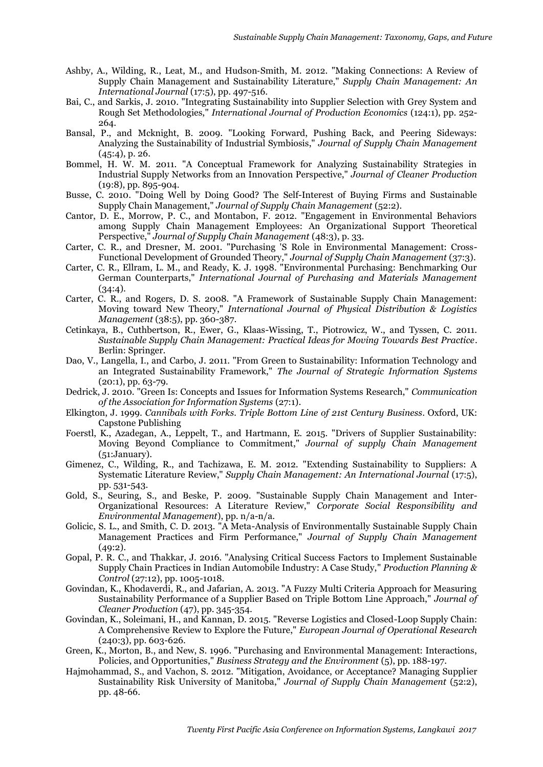- Ashby, A., Wilding, R., Leat, M., and Hudson‐Smith, M. 2012. "Making Connections: A Review of Supply Chain Management and Sustainability Literature," *Supply Chain Management: An International Journal* (17:5), pp. 497-516.
- Bai, C., and Sarkis, J. 2010. "Integrating Sustainability into Supplier Selection with Grey System and Rough Set Methodologies," *International Journal of Production Economics* (124:1), pp. 252- 264.
- Bansal, P., and Mcknight, B. 2009. "Looking Forward, Pushing Back, and Peering Sideways: Analyzing the Sustainability of Industrial Symbiosis," *Journal of Supply Chain Management* (45:4), p. 26.
- Bommel, H. W. M. 2011. "A Conceptual Framework for Analyzing Sustainability Strategies in Industrial Supply Networks from an Innovation Perspective," *Journal of Cleaner Production* (19:8), pp. 895-904.
- Busse, C. 2010. "Doing Well by Doing Good? The Self-Interest of Buying Firms and Sustainable Supply Chain Management," *Journal of Supply Chain Management* (52:2).
- Cantor, D. E., Morrow, P. C., and Montabon, F. 2012. "Engagement in Environmental Behaviors among Supply Chain Management Employees: An Organizational Support Theoretical Perspective," *Journal of Supply Chain Management* (48:3), p. 33.
- Carter, C. R., and Dresner, M. 2001. "Purchasing 'S Role in Environmental Management: Cross-Functional Development of Grounded Theory," *Journal of Supply Chain Management* (37:3).
- Carter, C. R., Ellram, L. M., and Ready, K. J. 1998. "Environmental Purchasing: Benchmarking Our German Counterparts," *International Journal of Purchasing and Materials Management*  $(34:4).$
- Carter, C. R., and Rogers, D. S. 2008. "A Framework of Sustainable Supply Chain Management: Moving toward New Theory," *International Journal of Physical Distribution & Logistics Management* (38:5), pp. 360-387.
- Cetinkaya, B., Cuthbertson, R., Ewer, G., Klaas-Wissing, T., Piotrowicz, W., and Tyssen, C. 2011. *Sustainable Supply Chain Management: Practical Ideas for Moving Towards Best Practice*. Berlin: Springer.
- Dao, V., Langella, I., and Carbo, J. 2011. "From Green to Sustainability: Information Technology and an Integrated Sustainability Framework," *The Journal of Strategic Information Systems*  $(20:1)$ , pp. 63-79.
- Dedrick, J. 2010. "Green Is: Concepts and Issues for Information Systems Research," *Communication of the Association for Information Systems* (27:1).
- Elkington, J. 1999. *Cannibals with Forks. Triple Bottom Line of 21st Century Business*. Oxford, UK: Capstone Publishing
- Foerstl, K., Azadegan, A., Leppelt, T., and Hartmann, E. 2015. "Drivers of Supplier Sustainability: Moving Beyond Compliance to Commitment," *Journal of supply Chain Management* (51:January).
- Gimenez, C., Wilding, R., and Tachizawa, E. M. 2012. "Extending Sustainability to Suppliers: A Systematic Literature Review," *Supply Chain Management: An International Journal* (17:5), pp. 531-543.
- Gold, S., Seuring, S., and Beske, P. 2009. "Sustainable Supply Chain Management and Inter-Organizational Resources: A Literature Review," *Corporate Social Responsibility and Environmental Management*), pp. n/a-n/a.
- Golicic, S. L., and Smith, C. D. 2013. "A Meta-Analysis of Environmentally Sustainable Supply Chain Management Practices and Firm Performance," *Journal of Supply Chain Management*  $(49:2)$ .
- Gopal, P. R. C., and Thakkar, J. 2016. "Analysing Critical Success Factors to Implement Sustainable Supply Chain Practices in Indian Automobile Industry: A Case Study," *Production Planning & Control* (27:12), pp. 1005-1018.
- Govindan, K., Khodaverdi, R., and Jafarian, A. 2013. "A Fuzzy Multi Criteria Approach for Measuring Sustainability Performance of a Supplier Based on Triple Bottom Line Approach," *Journal of Cleaner Production* (47), pp. 345-354.
- Govindan, K., Soleimani, H., and Kannan, D. 2015. "Reverse Logistics and Closed-Loop Supply Chain: A Comprehensive Review to Explore the Future," *European Journal of Operational Research* (240:3), pp. 603-626.
- Green, K., Morton, B., and New, S. 1996. "Purchasing and Environmental Management: Interactions, Policies, and Opportunities," *Business Strategy and the Environment* (5), pp. 188-197.
- Hajmohammad, S., and Vachon, S. 2012. "Mitigation, Avoidance, or Acceptance? Managing Supplier Sustainability Risk University of Manitoba," *Journal of Supply Chain Management* (52:2), pp. 48-66.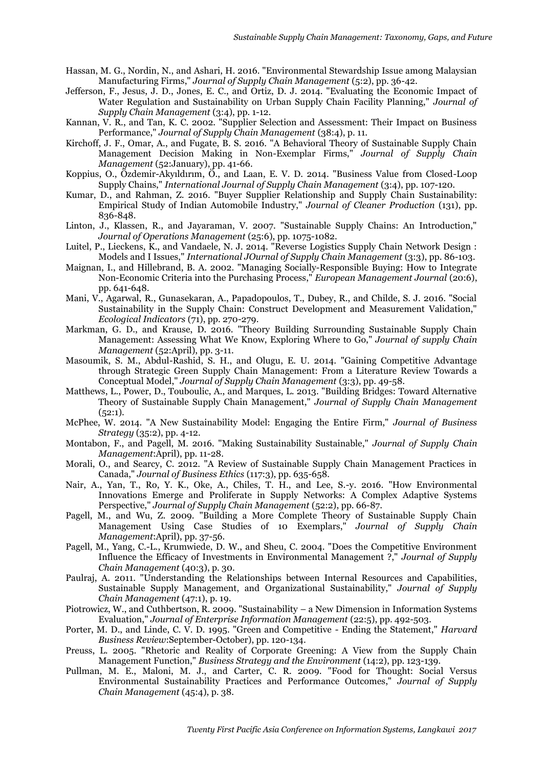- Hassan, M. G., Nordin, N., and Ashari, H. 2016. "Environmental Stewardship Issue among Malaysian Manufacturing Firms," *Journal of Supply Chain Management* (5:2), pp. 36-42.
- Jefferson, F., Jesus, J. D., Jones, E. C., and Ortiz, D. J. 2014. "Evaluating the Economic Impact of Water Regulation and Sustainability on Urban Supply Chain Facility Planning," *Journal of Supply Chain Management* (3:4), pp. 1-12.
- Kannan, V. R., and Tan, K. C. 2002. "Supplier Selection and Assessment: Their Impact on Business Performance," *Journal of Supply Chain Management* (38:4), p. 11.
- Kirchoff, J. F., Omar, A., and Fugate, B. S. 2016. "A Behavioral Theory of Sustainable Supply Chain Management Decision Making in Non-Exemplar Firms," *Journal of Supply Chain Management* (52:January), pp. 41-66.
- Koppius, O., Özdemir-Akyıldırım, Ö., and Laan, E. V. D. 2014. "Business Value from Closed-Loop Supply Chains," *International Journal of Supply Chain Management* (3:4), pp. 107-120.
- Kumar, D., and Rahman, Z. 2016. "Buyer Supplier Relationship and Supply Chain Sustainability: Empirical Study of Indian Automobile Industry," *Journal of Cleaner Production* (131), pp. 836-848.
- Linton, J., Klassen, R., and Jayaraman, V. 2007. "Sustainable Supply Chains: An Introduction," *Journal of Operations Management* (25:6), pp. 1075-1082.
- Luitel, P., Lieckens, K., and Vandaele, N. J. 2014. "Reverse Logistics Supply Chain Network Design : Models and I Issues," *International JOurnal of Supply Chain Management* (3:3), pp. 86-103.
- Maignan, I., and Hillebrand, B. A. 2002. "Managing Socially-Responsible Buying: How to Integrate Non-Economic Criteria into the Purchasing Process," *European Management Journal* (20:6), pp. 641-648.
- Mani, V., Agarwal, R., Gunasekaran, A., Papadopoulos, T., Dubey, R., and Childe, S. J. 2016. "Social Sustainability in the Supply Chain: Construct Development and Measurement Validation," *Ecological Indicators* (71), pp. 270-279.
- Markman, G. D., and Krause, D. 2016. "Theory Building Surrounding Sustainable Supply Chain Management: Assessing What We Know, Exploring Where to Go," *Journal of supply Chain Management* (52:April), pp. 3-11.
- Masoumik, S. M., Abdul-Rashid, S. H., and Olugu, E. U. 2014. "Gaining Competitive Advantage through Strategic Green Supply Chain Management: From a Literature Review Towards a Conceptual Model," *Journal of Supply Chain Management* (3:3), pp. 49-58.
- Matthews, L., Power, D., Touboulic, A., and Marques, L. 2013. "Building Bridges: Toward Alternative Theory of Sustainable Supply Chain Management," *Journal of Supply Chain Management*  $(52:1)$ .
- McPhee, W. 2014. "A New Sustainability Model: Engaging the Entire Firm," *Journal of Business Strategy* (35:2), pp. 4-12.
- Montabon, F., and Pagell, M. 2016. "Making Sustainability Sustainable," *Journal of Supply Chain Management*:April), pp. 11-28.
- Morali, O., and Searcy, C. 2012. "A Review of Sustainable Supply Chain Management Practices in Canada," *Journal of Business Ethics* (117:3), pp. 635-658.
- Nair, A., Yan, T., Ro, Y. K., Oke, A., Chiles, T. H., and Lee, S.-y. 2016. "How Environmental Innovations Emerge and Proliferate in Supply Networks: A Complex Adaptive Systems Perspective," *Journal of Supply Chain Management* (52:2), pp. 66-87.
- Pagell, M., and Wu, Z. 2009. "Building a More Complete Theory of Sustainable Supply Chain Management Using Case Studies of 10 Exemplars," *Journal of Supply Chain Management*:April), pp. 37-56.
- Pagell, M., Yang, C.-L., Krumwiede, D. W., and Sheu, C. 2004. "Does the Competitive Environment Influence the Efficacy of Investments in Environmental Management ?," *Journal of Supply Chain Management* (40:3), p. 30.
- Paulraj, A. 2011. "Understanding the Relationships between Internal Resources and Capabilities, Sustainable Supply Management, and Organizational Sustainability," *Journal of Supply Chain Management* (47:1), p. 19.
- Piotrowicz, W., and Cuthbertson, R. 2009. "Sustainability a New Dimension in Information Systems Evaluation," *Journal of Enterprise Information Management* (22:5), pp. 492-503.
- Porter, M. D., and Linde, C. V. D. 1995. "Green and Competitive Ending the Statement," *Harvard Business Review*:September-October), pp. 120-134.
- Preuss, L. 2005. "Rhetoric and Reality of Corporate Greening: A View from the Supply Chain Management Function," *Business Strategy and the Environment* (14:2), pp. 123-139.
- Pullman, M. E., Maloni, M. J., and Carter, C. R. 2009. "Food for Thought: Social Versus Environmental Sustainability Practices and Performance Outcomes," *Journal of Supply Chain Management* (45:4), p. 38.